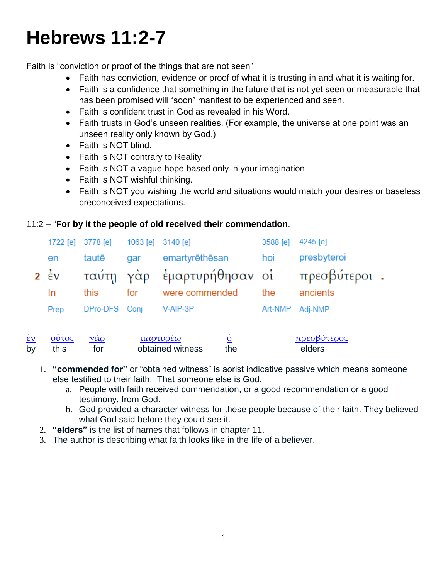# **Hebrews 11:2-7**

Faith is "conviction or proof of the things that are not seen"

- Faith has conviction, evidence or proof of what it is trusting in and what it is waiting for.
- Faith is a confidence that something in the future that is not yet seen or measurable that has been promised will "soon" manifest to be experienced and seen.
- Faith is confident trust in God as revealed in his Word.
- Faith trusts in God's unseen realities. (For example, the universe at one point was an unseen reality only known by God.)
- Faith is NOT blind.
- Faith is NOT contrary to Reality
- Faith is NOT a vague hope based only in your imagination
- Faith is NOT wishful thinking.
- Faith is NOT you wishing the world and situations would match your desires or baseless preconceived expectations.

## 11:2 – "**For by it the people of old received their commendation**.

|                | 1722 [e] 3778 [e] 1063 [e] 3140 [e] |     |                                         | 3588 [e] 4245 [e] |             |  |
|----------------|-------------------------------------|-----|-----------------------------------------|-------------------|-------------|--|
| en             | tautē                               | gar | emartyrēthēsan                          | <u>hoi</u>        | presbyteroi |  |
| $2 \epsilon v$ |                                     |     | ταύτη γάρ έμαρτυρήθησαν οί πρεσβύτεροι. |                   |             |  |
| In.            | this                                | for | were commended                          | the               | ancients    |  |
| Prep           | DPro-DFS Conj                       |     | V-AIP-3P                                | Art-NMP           | Adj-NMP     |  |
|                |                                     |     |                                         |                   |             |  |
|                |                                     |     |                                         |                   |             |  |

| $\epsilon v$ | Οῢτος | $\gamma \alpha$ o | μαρτυρεω         |     | πρεσβύτερος |
|--------------|-------|-------------------|------------------|-----|-------------|
| bv           | this  | tor               | obtained witness | the | elders      |

- 1. **"commended for"** or "obtained witness" is aorist indicative passive which means someone else testified to their faith. That someone else is God.
	- a. People with faith received commendation, or a good recommendation or a good testimony, from God.
	- b. God provided a character witness for these people because of their faith. They believed what God said before they could see it.
- 2. **"elders"** is the list of names that follows in chapter 11.
- 3. The author is describing what faith looks like in the life of a believer.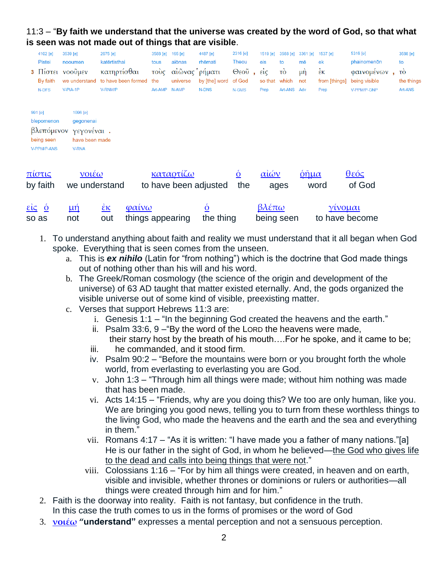## 11:3 – "**By faith we understand that the universe was created by the word of God, so that what is seen was not made out of things that are visible**.

|             | 4102 [e]<br>Pistei<br>3 Πίστει<br>By faith<br>N-DFS              | 3539 [e]<br>nooumen<br>νοοὖμεν<br>we understand<br>V-PIA-1P           | 2675 [e]<br>katērtisthai<br>κατηρτίσθαι<br>to have been formed<br>V-RNM/P | 3588 [e]<br>tous<br>τούς<br>the<br>Art-AMP | 165 [e]<br>aiōnas<br>αίῶνας ρήματι<br>universe<br>N-AMP | 4487 [e]<br>rhēmati<br>by [the] word<br><b>N-DNS</b> | 2316 [e]<br>Theou<br>Θεοῦ<br>of God<br>N-GMS | 1519 [e]<br>eis<br>είς<br>so that<br>Prep | 3588 [e]<br>to<br>τò<br>which<br>Art-ANS | 3361<br>[e]<br>mē<br>$\mu$ ή<br>not<br>Adv | 1537 [e]<br>ek<br>$\dot{\epsilon}$ ĸ<br>from [things]<br>Prep | 5316 [e]<br>phainomenon<br>φαινομένων<br>being visible<br>V-PPM/P-GNP | 3588 [e]<br>to<br>τò<br>the things<br>Art-ANS |
|-------------|------------------------------------------------------------------|-----------------------------------------------------------------------|---------------------------------------------------------------------------|--------------------------------------------|---------------------------------------------------------|------------------------------------------------------|----------------------------------------------|-------------------------------------------|------------------------------------------|--------------------------------------------|---------------------------------------------------------------|-----------------------------------------------------------------------|-----------------------------------------------|
|             | 991 [e]<br>blepomenon<br>βλεπόμενον<br>being seen<br>V-PPM/P-ANS | 1096 [e]<br>gegonenai<br>γεγονέναι.<br>have been made<br><b>V-RNA</b> |                                                                           |                                            |                                                         |                                                      |                                              |                                           |                                          |                                            |                                                               |                                                                       |                                               |
|             | <u>πίστις</u><br>by faith                                        | $\mathsf{Vol}\varepsilon\omega$<br>we understand                      |                                                                           |                                            | <u>καταρτίζω</u>                                        | to have been adjusted                                | $\underline{\dot{\mathbf{0}}}$<br>the        | $\alpha\alpha\omega$                      | ages                                     | <u>ὁῆμα</u>                                | word                                                          | $θ$ εός<br>of God                                                     |                                               |
| $\vec{213}$ | $\mathbf{O}$                                                     | <u>μή</u>                                                             | $\frac{\dot{\epsilon} \kappa}{\dot{\epsilon}}$<br>φαίνω                   |                                            |                                                         | $\underline{\mathbf{0}}$                             |                                              | βλέπω                                     |                                          |                                            | $\gamma$ ivou $\alpha$                                        |                                                                       |                                               |

1. To understand anything about faith and reality we must understand that it all began when God spoke. Everything that is seen comes from the unseen.

so as not out things appearing the thing being seen to have become

- a. This is *ex nihilo* (Latin for "from nothing") which is the doctrine that God made things out of nothing other than his will and his word.
- b. The Greek/Roman cosmology (the science of the origin and development of the universe) of 63 AD taught that matter existed eternally. And, the gods organized the visible universe out of some kind of visible, preexisting matter.
- c. Verses that support Hebrews 11:3 are:
	- i. Genesis 1:1 "In the beginning God created the heavens and the earth."
	- ii. Psalm 33:6, 9 –"By the word of the LORD the heavens were made, their starry host by the breath of his mouth….For he spoke, and it came to be;
	- iii. he commanded, and it stood firm.
	- iv. Psalm 90:2 "Before the mountains were born or you brought forth the whole world, from everlasting to everlasting you are God.
	- v. John 1:3 "Through him all things were made; without him nothing was made that has been made.
	- vi. Acts 14:15 "Friends, why are you doing this? We too are only human, like you. We are bringing you good news, telling you to turn from these worthless things to the living God, who made the heavens and the earth and the sea and everything in them."
	- vii. Romans 4:17 "As it is written: "I have made you a father of many nations."[a] He is our father in the sight of God, in whom he believed—the God who gives life to the dead and calls into being things that were not."
	- viii. Colossians 1:16 "For by him all things were created, in heaven and on earth, visible and invisible, whether thrones or dominions or rulers or authorities—all things were created through him and for him."
- 2. Faith is the doorway into reality. Faith is not fantasy, but confidence in the truth. In this case the truth comes to us in the forms of promises or the word of God
- 3. **[νοιέω](http://strongsnumbers.com/greek/3539.htm) "understand"** expresses a mental perception and not a sensuous perception.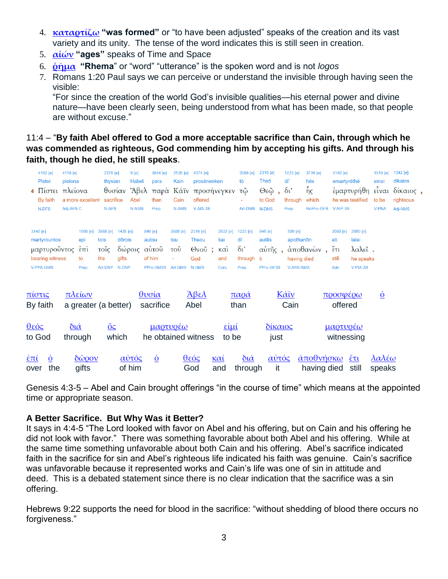- 4. **[καταρτίζω](http://strongsnumbers.com/greek/2675.htm) "was formed"** or "to have been adjusted" speaks of the creation and its vast variety and its unity. The tense of the word indicates this is still seen in creation.
- 5. **[αἰών](http://strongsnumbers.com/greek/165.htm) "ages"** speaks of Time and Space
- 6. **[ῥῆμα](http://strongsnumbers.com/greek/4487.htm) "Rhema**" or "word" "utterance" is the spoken word and is not *logos*
- 7. Romans 1:20 Paul says we can perceive or understand the invisible through having seen the visible:

"For since the creation of the world God's invisible qualities—his eternal power and divine nature—have been clearly seen, being understood from what has been made, so that people are without excuse."

## 11:4 – "**By faith Abel offered to God a more acceptable sacrifice than Cain, through which he was commended as righteous, God commending him by accepting his gifts. And through his faith, though he died, he still speaks**.

|                    | 4102 [e]<br><b>Pistei</b><br>$4 \text{ N}$ <sub>10</sub><br>By faith<br>N-DFS | 4119 [e]<br>pleiona<br>Adj-AFS-C | πλείονα<br>a more excellent                    | 2378 [e]<br>thysian<br>θυσίαν<br>sacrifice<br>N-AFS |                                                  | 6[e]<br><b>Habel</b><br>Abel<br><b>N-NMS</b> | 3844 [e]<br>para<br>than<br>Prep                 | 2535 [e]<br>Kain<br>Cain<br>N-AMS                       | 4374 [e]<br>prosēnenken<br>Άβελ παρά Κάϊν προσήνεγκεν<br>offered<br>$V-AIA-3S$ |                                               | 3588 [e]<br>tō<br>τῶ<br>Art-DMS N-DMS                          | 2316 [e]<br>Theō<br>$Θ$ εῷ<br>$\mathbf{r}$<br>to God | 1223 [e]<br>di'<br>$\delta$ <sup>'</sup><br>through<br>Prep | 3739 [e]<br>hēs<br>$\tilde{\eta}_{\mathsf{S}}$<br>which<br>RelPro-GFS V-AIP-3S | 3140 [e]<br>emartyrēthē                                  | έμαρτυρήθη<br>he was testified                       | 1510 [e]<br>einai<br>$ε_1$ ναι<br>to be<br><b>V-PNA</b> | 1342 [e]<br>dikaios<br>δίκαιος,<br>righteous<br>Adj-NMS |  |
|--------------------|-------------------------------------------------------------------------------|----------------------------------|------------------------------------------------|-----------------------------------------------------|--------------------------------------------------|----------------------------------------------|--------------------------------------------------|---------------------------------------------------------|--------------------------------------------------------------------------------|-----------------------------------------------|----------------------------------------------------------------|------------------------------------------------------|-------------------------------------------------------------|--------------------------------------------------------------------------------|----------------------------------------------------------|------------------------------------------------------|---------------------------------------------------------|---------------------------------------------------------|--|
| 3140 [e]           | martyrountos<br>μαρτυροῦντος<br>bearing witness<br>V-PPA-GMS                  |                                  | 1909 [e]<br>epi<br>$\epsilon$ πί<br>to<br>Prep | 3588 [e]<br>tois<br>τοΐς<br>the<br>Art-DNP          | 1435 $[e]$<br>dōrois<br>δώροις<br>gifts<br>N-DNP |                                              | 846 [e]<br>autou<br>αυτοῦ<br>of him<br>PPro-GM3S | 3588 [e]<br>tou<br>$\overline{\mathrm{TOU}}$<br>Art-GMS | 2316 [e]<br><b>Theou</b><br>$\Theta$ εοῦ;<br>God<br>N-GMS                      | 2532 [e]<br>kai<br>$k\alpha i$<br>and<br>Conj | 1223 [e]<br>di'<br>$\delta$ <sup>'</sup><br>through it<br>Prep | 846 [e]<br>autēs<br>αὐτῆς,<br>PPro-GF3S              | 599 [e]<br>apothanon<br>having died<br><b>V-APA-NMS</b>     | άποθανὼν<br>$\mathbf{r}$                                                       | 2089 [e]<br>eti<br>$\tilde{\epsilon}$ ti<br>still<br>Adv | 2980 [e]<br>lalei<br>λαλεΐ.<br>he speaks<br>V-PIA-3S |                                                         |                                                         |  |
|                    | <u>πίστις</u><br>By faith                                                     |                                  | <u>πλείων</u><br>a greater (a better)          |                                                     |                                                  |                                              | <u>θυσία</u><br>sacrifice                        |                                                         | <u>Άβελ</u><br>Abel                                                            |                                               | $\pi \alpha$ o $\alpha$<br>than                                |                                                      | Κάϊν<br>Cain                                                |                                                                                | <u>προσφέρω</u><br>offered                               |                                                      | $\underline{\acute{o}}$                                 |                                                         |  |
| θεός               | to God                                                                        |                                  | $\delta$ ιά<br>through                         | $\underline{\bullet}$                               | which                                            |                                              | <u>μαρτυρέω</u>                                  |                                                         | he obtained witness                                                            | $\epsilon$ ίμί<br>to be                       |                                                                | <u>δίκαιος</u><br>just                               |                                                             |                                                                                | <u>μαρτυρέω</u><br>witnessing                            |                                                      |                                                         |                                                         |  |
| <u>έπί</u><br>over | $\overline{\mathbf{Q}}$<br>the                                                |                                  | $\delta\tilde{\omega}$ <i>pov</i><br>gifts     |                                                     |                                                  | <u>αὐτός</u><br>of him                       | $\underline{\dot{\mathbf{0}}}$                   |                                                         | $\frac{\partial \varepsilon \phi \varsigma}{\partial \varepsilon}$<br>God      | $k\alpha i$<br>and                            | $\delta$ ιά<br>through                                         | <u>αὐτός</u><br>it                                   |                                                             | $\dot{\alpha}$ ποθνήσκω<br>having died                                         |                                                          | $\frac{\mathbf{z}}{\mathbf{z}}$<br>still             | λαλέω<br>speaks                                         |                                                         |  |

Genesis 4:3-5 – Abel and Cain brought offerings "in the course of time" which means at the appointed time or appropriate season.

## **A Better Sacrifice. But Why Was it Better?**

It says in 4:4-5 "The Lord looked with favor on Abel and his offering, but on Cain and his offering he did not look with favor." There was something favorable about both Abel and his offering. While at the same time something unfavorable about both Cain and his offering. Abel's sacrifice indicated faith in the sacrifice for sin and Abel's righteous life indicated his faith was genuine. Cain's sacrifice was unfavorable because it represented works and Cain's life was one of sin in attitude and deed. This is a debated statement since there is no clear indication that the sacrifice was a sin offering.

Hebrews 9:22 supports the need for blood in the sacrifice: "without shedding of blood there occurs no forgiveness."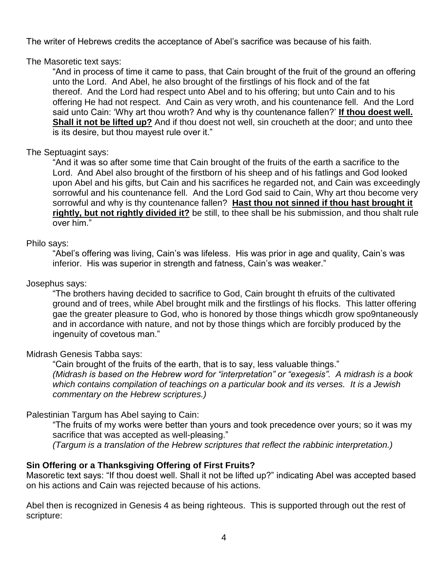The writer of Hebrews credits the acceptance of Abel's sacrifice was because of his faith.

The Masoretic text says:

"And in process of time it came to pass, that Cain brought of the fruit of the ground an offering unto the Lord. And Abel, he also brought of the firstlings of his flock and of the fat thereof. And the Lord had respect unto Abel and to his offering; but unto Cain and to his offering He had not respect. And Cain as very wroth, and his countenance fell. And the Lord said unto Cain: 'Why art thou wroth? And why is thy countenance fallen?' **If thou doest well. Shall it not be lifted up?** And if thou doest not well, sin croucheth at the door; and unto thee is its desire, but thou mayest rule over it."

## The Septuagint says:

"And it was so after some time that Cain brought of the fruits of the earth a sacrifice to the Lord. And Abel also brought of the firstborn of his sheep and of his fatlings and God looked upon Abel and his gifts, but Cain and his sacrifices he regarded not, and Cain was exceedingly sorrowful and his countenance fell. And the Lord God said to Cain, Why art thou become very sorrowful and why is thy countenance fallen? **Hast thou not sinned if thou hast brought it rightly, but not rightly divided it?** be still, to thee shall be his submission, and thou shalt rule over him."

#### Philo says:

"Abel's offering was living, Cain's was lifeless. His was prior in age and quality, Cain's was inferior. His was superior in strength and fatness, Cain's was weaker."

#### Josephus says:

"The brothers having decided to sacrifice to God, Cain brought th efruits of the cultivated ground and of trees, while Abel brought milk and the firstlings of his flocks. This latter offering gae the greater pleasure to God, who is honored by those things whicdh grow spo9ntaneously and in accordance with nature, and not by those things which are forcibly produced by the ingenuity of covetous man."

## Midrash Genesis Tabba says:

"Cain brought of the fruits of the earth, that is to say, less valuable things." *(Midrash is based on the Hebrew word for "interpretation" or "exegesis". A midrash is a book which contains compilation of teachings on a particular book and its verses. It is a Jewish commentary on the Hebrew scriptures.)*

## Palestinian Targum has Abel saying to Cain:

"The fruits of my works were better than yours and took precedence over yours; so it was my sacrifice that was accepted as well-pleasing."

*(Targum is a translation of the Hebrew scriptures that reflect the rabbinic interpretation.)*

## **Sin Offering or a Thanksgiving Offering of First Fruits?**

Masoretic text says: "If thou doest well. Shall it not be lifted up?" indicating Abel was accepted based on his actions and Cain was rejected because of his actions.

Abel then is recognized in Genesis 4 as being righteous. This is supported through out the rest of scripture: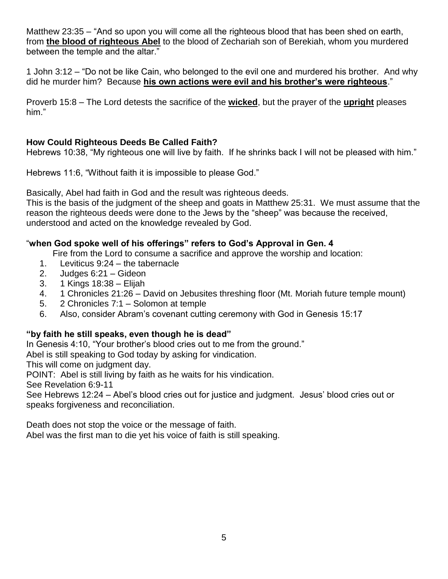Matthew 23:35 – "And so upon you will come all the righteous blood that has been shed on earth, from **the blood of righteous Abel** to the blood of Zechariah son of Berekiah, whom you murdered between the temple and the altar."

1 John 3:12 – "Do not be like Cain, who belonged to the evil one and murdered his brother. And why did he murder him? Because **his own actions were evil and his brother's were righteous**."

Proverb 15:8 – The Lord detests the sacrifice of the **wicked**, but the prayer of the **upright** pleases him."

## **How Could Righteous Deeds Be Called Faith?**

Hebrews 10:38, "My righteous one will live by faith. If he shrinks back I will not be pleased with him."

Hebrews 11:6, "Without faith it is impossible to please God."

Basically, Abel had faith in God and the result was righteous deeds.

This is the basis of the judgment of the sheep and goats in Matthew 25:31. We must assume that the reason the righteous deeds were done to the Jews by the "sheep" was because the received, understood and acted on the knowledge revealed by God.

## "**when God spoke well of his offerings" refers to God's Approval in Gen. 4**

Fire from the Lord to consume a sacrifice and approve the worship and location:

- 1. Leviticus 9:24 the tabernacle
- 2. Judges 6:21 Gideon
- 3. 1 Kings 18:38 Elijah
- 4. 1 Chronicles 21:26 David on Jebusites threshing floor (Mt. Moriah future temple mount)
- 5. 2 Chronicles 7:1 Solomon at temple
- 6. Also, consider Abram's covenant cutting ceremony with God in Genesis 15:17

## **"by faith he still speaks, even though he is dead"**

In Genesis 4:10, "Your brother's blood cries out to me from the ground."

Abel is still speaking to God today by asking for vindication.

This will come on judgment day.

POINT: Abel is still living by faith as he waits for his vindication.

See Revelation 6:9-11

See Hebrews 12:24 – Abel's blood cries out for justice and judgment. Jesus' blood cries out or speaks forgiveness and reconciliation.

Death does not stop the voice or the message of faith.

Abel was the first man to die yet his voice of faith is still speaking.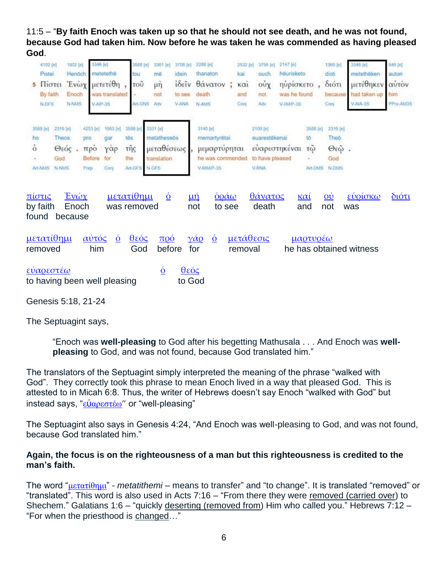11:5 – "**By faith Enoch was taken up so that he should not see death, and he was not found, because God had taken him. Now before he was taken he was commended as having pleased God**.

| 5                               | 4102 [e]<br>Pistei<br>Πίστει<br>By faith<br>N-DFS |                                   | 1802 [e]<br>Henöch<br>Enoch<br><b>N-NMS</b> |                                          | 3346 [e]<br>metetethē<br>Ένωχ μετετέθη<br>was translated<br>V-AIP-3S | 3588 [e]<br>tou<br>τοῦ<br>Art-GNS        | 3361 [e]<br>mě<br>$\mu$ ŋ<br>not<br>Adv                       | 3708 [e]<br>idein<br>iδεĩν<br>to see<br><b>V-ANA</b> | 2288 [e]<br>thanaton<br>θάνατον<br>death<br>N-AMS                         | ÷ | 2532 [e]<br>kai<br>$\kappa$ $\alpha$<br>and<br>Con | 3756 [e]<br>ouch<br>ούχ<br>not<br>Adv                 | 2147 [c]<br>hēurisketo<br>ηυρίσκετο<br>was he found<br>V-IIMP-3S |                                            | 1360 [è]<br>dioti<br>διότι<br>because<br>Conj | 3346 [e]<br>metethêken<br>μετέθηκεν<br>had taken up<br>$V-AIA-3S$ | 846 [e]<br>auton<br>αύτον<br>him<br>PPro-AM3S |
|---------------------------------|---------------------------------------------------|-----------------------------------|---------------------------------------------|------------------------------------------|----------------------------------------------------------------------|------------------------------------------|---------------------------------------------------------------|------------------------------------------------------|---------------------------------------------------------------------------|---|----------------------------------------------------|-------------------------------------------------------|------------------------------------------------------------------|--------------------------------------------|-----------------------------------------------|-------------------------------------------------------------------|-----------------------------------------------|
| 3588 [e]<br>ho<br>$\dot{\rm o}$ | Art-NMS                                           | 2316 [e]<br>Theos<br>God<br>N-NMS | Θεός.                                       | 4253 [e]<br>pro<br>προ<br>Before<br>Prep | 1063 (e)<br>gar<br>γαρ<br>for<br>Conj                                | 3588 [e]<br>tēs<br>τῆς<br>the<br>Art-GFS | 3331 [e]<br>metathesees<br>μεταθέσεως<br>translation<br>N-GFS |                                                      | 3140 [e]<br>memartyrētai<br>μεμαρτύρηται<br>he was commended<br>V-RIMP-3S |   |                                                    | 2100 [e]<br>euarestékenai<br>to have pleased<br>V-RNA | ευαρεστηκέναι                                                    | 3588 [e]<br>tö:<br>$T(\vec{u})$<br>Art-DMS | 2316 (e)<br>Theo<br>$Θ$ εῶ.<br>God<br>N-DMS   |                                                                   |                                               |
|                                 | <u>πίστις</u><br>by faith<br>found                |                                   | $E$ νώχ<br>Enoch<br>because                 |                                          |                                                                      | <u>μετατίθημι</u><br>was removed         | $\dot{\mathbf{O}}$                                            |                                                      | $\frac{\dot{\Omega}}{\dot{\Omega}}$<br>$\mu \eta$<br>not<br>to see        |   |                                                    | <u>θάνατος</u><br>death                               |                                                                  | $k\alpha i$<br>and                         | $\mathbf{Q} \dot{\mathbf{U}}$<br>not          | εύρίσκω<br>was                                                    | $\delta$ ιότι                                 |
|                                 | removed                                           | μετατίθημι                        |                                             | αὐτός                                    | $\dot{\mathbf{Q}}$<br>him                                            | $\theta$ εός<br>God                      | $\pi$ oó<br>before                                            |                                                      | $\gamma \alpha_Q$<br>$\dot{\mathbf{Q}}$<br>for                            |   | <u>μετάθεσις</u><br>removal                        |                                                       |                                                                  | μαρτυρέω                                   |                                               | he has obtained witness                                           |                                               |
|                                 |                                                   | εύαρεστέω                         |                                             |                                          | to having been well pleasing                                         |                                          | $\dot{\mathbf{o}}$                                            | $\theta$ εός<br>to God                               |                                                                           |   |                                                    |                                                       |                                                                  |                                            |                                               |                                                                   |                                               |

Genesis 5:18, 21-24

The Septuagint says,

"Enoch was **well-pleasing** to God after his begetting Mathusala . . . And Enoch was **wellpleasing** to God, and was not found, because God translated him."

The translators of the Septuagint simply interpreted the meaning of the phrase "walked with God". They correctly took this phrase to mean Enoch lived in a way that pleased God. This is attested to in Micah 6:8. Thus, the writer of Hebrews doesn't say Enoch "walked with God" but instead says, "εὐ[αρεστέω](http://strongsnumbers.com/greek/2100.htm)" or "well-pleasing"

The Septuagint also says in Genesis 4:24, "And Enoch was well-pleasing to God, and was not found, because God translated him."

#### **Again, the focus is on the righteousness of a man but this righteousness is credited to the man's faith.**

The word "[μετατίθημι](http://strongsnumbers.com/greek/3346.htm)" - *metatithemi* – means to transfer" and "to change". It is translated "removed" or "translated". This word is also used in Acts 7:16 – "From there they were removed (carried over) to Shechem." Galatians 1:6 – "quickly deserting (removed from) Him who called you." Hebrews 7:12 – "For when the priesthood is changed…"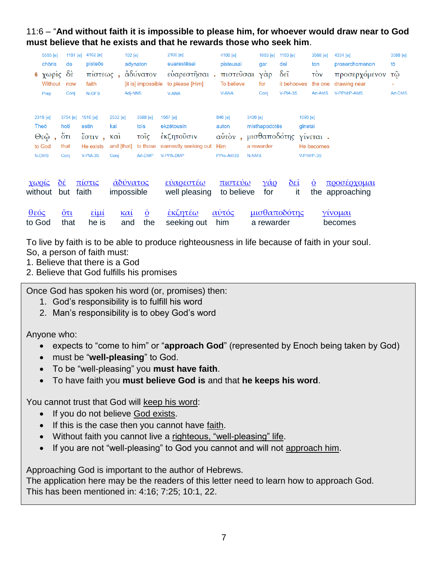11:6 – "**And without faith it is impossible to please him, for whoever would draw near to God must believe that he exists and that he rewards those who seek him**.

|         | 5565 [e]<br>chōris<br><b>6</b> χωρίς δέ<br>Without<br>Prep | 1161 $[e]$<br>de<br>now<br>Conj             | 4102 [e]<br>pisteōs<br>πίστεως,<br>faith<br>N-GFS                                                                                     | $102$ [e]                                                    | adynaton<br>αδύνατον<br>[it is] impossible<br>Adi-NNS | 2100 [e]<br>euarestēsai<br>ευαρεστήσαι.<br>to please [Him]<br><b>V-ANA</b> | 4100 [e]<br>pisteusai<br>πιστεὖσαι<br>To believe<br><b>V-ANA</b> | gar<br>$\gamma \dot{\alpha} \rho$<br>for<br>Coni        | 1063 [e] 1163 [e]<br>dei<br>$\delta \varepsilon \tilde{\text{i}}$<br>it behooves<br>V-PIA-3S | 3588 [e]<br>ton<br>$\vec{10v}$<br>the one<br>Art-AMS | 4334 [e]<br>proserchomenon<br>προσερχόμενον<br>drawing near<br>V-PPM/P-AMS | 3588 [e]<br>tō<br>τῶ<br><b>Art-DMS</b> |
|---------|------------------------------------------------------------|---------------------------------------------|---------------------------------------------------------------------------------------------------------------------------------------|--------------------------------------------------------------|-------------------------------------------------------|----------------------------------------------------------------------------|------------------------------------------------------------------|---------------------------------------------------------|----------------------------------------------------------------------------------------------|------------------------------------------------------|----------------------------------------------------------------------------|----------------------------------------|
|         | 2316 [e]<br>Theō<br>$Θ$ εῷ,<br>to God<br>N-DMS             | 3754 [e]<br>hoti<br>$5\tau$<br>that<br>Coni | 1510 [e]<br>estin<br>$\epsilon$ <sup><math>\sigma</math></sup> $\tau$ <sup><math>\mu</math></sup> $\sigma$<br>He exists<br>$V-PIA-3S$ | 2532 [e]<br>kai<br>$\kappa$ $\alpha i$<br>and [that]<br>Coni | 3588 [e]<br>tois<br>τοΐς<br>to those<br>Art-DMP       | 1567 [e]<br>ekzētousin<br>έκζητοὖσιν<br>earnestly seeking out<br>V-PPA-DMP | 846 [e]<br>auton<br>Him<br>PPro-AM3S                             | 3406 [e]<br>misthapodotes<br>a rewarder<br><b>N-NMS</b> | 1096 [e]<br>ginetai<br>αὐτὸν, μισθαποδότης γίνεται.                                          | He becomes<br>V-PIM/P-3S                             |                                                                            |                                        |
|         | χωρίς<br>without                                           | $\underline{\delta \varepsilon}$<br>but     | πίστις<br>faith                                                                                                                       | <u>άδύνατος</u><br>impossible                                |                                                       | <u>εύαρεστέω</u><br>well pleasing                                          | <u>πιστεύω</u><br>to believe                                     | $\gamma \alpha$ o<br>for                                | $\underline{\delta \epsilon \tilde{\iota}}$<br>it                                            | $\dot{\mathbf{Q}}$                                   | <u>προσέρχομαι</u><br>the approaching                                      |                                        |
| $θ$ εός | to God                                                     | $\frac{6\pi}{ }$<br>that                    | $\frac{\epsilon \mathbf{i} \mu \mathbf{i}}{\epsilon}$<br>he is                                                                        | $k\alpha i$<br>and                                           | $\overline{\mathbf{Q}}$<br>the                        | <u>εκζητέω</u><br>seeking out                                              | αυτός<br>him                                                     | a rewarder                                              | μισθαποδότης                                                                                 |                                                      | <u>γίνομαι</u><br>becomes                                                  |                                        |

To live by faith is to be able to produce righteousness in life because of faith in your soul.

So, a person of faith must:

1. Believe that there is a God

2. Believe that God fulfills his promises

Once God has spoken his word (or, promises) then:

- 1. God's responsibility is to fulfill his word
- 2. Man's responsibility is to obey God's word

Anyone who:

- expects to "come to him" or "**approach God**" (represented by Enoch being taken by God)
- must be "**well-pleasing**" to God.
- To be "well-pleasing" you **must have faith**.
- To have faith you **must believe God is** and that **he keeps his word**.

You cannot trust that God will keep his word:

- If you do not believe God exists.
- If this is the case then you cannot have faith.
- Without faith you cannot live a righteous, "well-pleasing" life.
- If you are not "well-pleasing" to God you cannot and will not approach him.

Approaching God is important to the author of Hebrews.

The application here may be the readers of this letter need to learn how to approach God. This has been mentioned in: 4:16; 7:25; 10:1, 22.